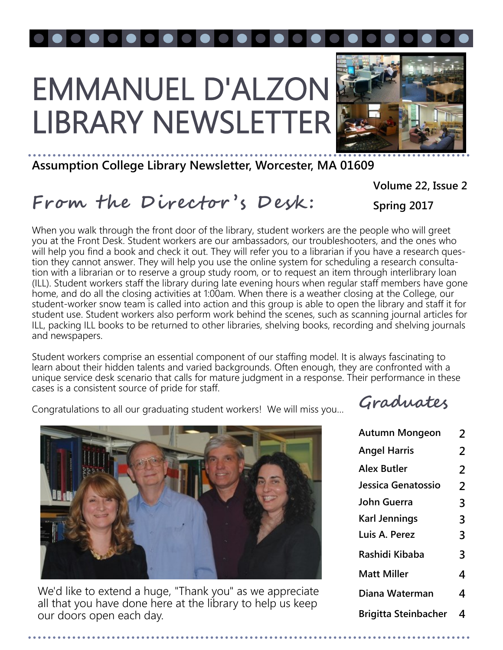# EMMANUEL D'ALZON LIBRARY NEWSLETTER



### **Assumption College Library Newsletter, Worcester, MA 01609**

**Volume 22, Issue 2**

### **From the Director 's Desk :**

**Spring 2017**

When you walk through the front door of the library, student workers are the people who will greet you at the Front Desk. Student workers are our ambassadors, our troubleshooters, and the ones who will help you find a book and check it out. They will refer you to a librarian if you have a research question they cannot answer. They will help you use the online system for scheduling a research consultation with a librarian or to reserve a group study room, or to request an item through interlibrary loan (ILL). Student workers staff the library during late evening hours when regular staff members have gone home, and do all the closing activities at 1:00am. When there is a weather closing at the College, our student-worker snow team is called into action and this group is able to open the library and staff it for student use. Student workers also perform work behind the scenes, such as scanning journal articles for ILL, packing ILL books to be returned to other libraries, shelving books, recording and shelving journals and newspapers.

Student workers comprise an essential component of our staffing model. It is always fascinating to learn about their hidden talents and varied backgrounds. Often enough, they are confronted with a unique service desk scenario that calls for mature judgment in a response. Their performance in these cases is a consistent source of pride for staff.

Congratulations to all our graduating student workers! We will miss you… **Graduates**



We'd like to extend a huge, "Thank you" as we appreciate all that you have done here at the library to help us keep our doors open each day.

| <b>Autumn Mongeon</b>       | $\overline{2}$ |
|-----------------------------|----------------|
| <b>Angel Harris</b>         | 2              |
| <b>Alex Butler</b>          | 2              |
| Jessica Genatossio          | 2              |
| John Guerra                 | 3              |
| <b>Karl Jennings</b>        | 3              |
| Luis A. Perez               | 3              |
| Rashidi Kibaba              | 3              |
| <b>Matt Miller</b>          | 4              |
| Diana Waterman              | 4              |
| <b>Brigitta Steinbacher</b> | 4              |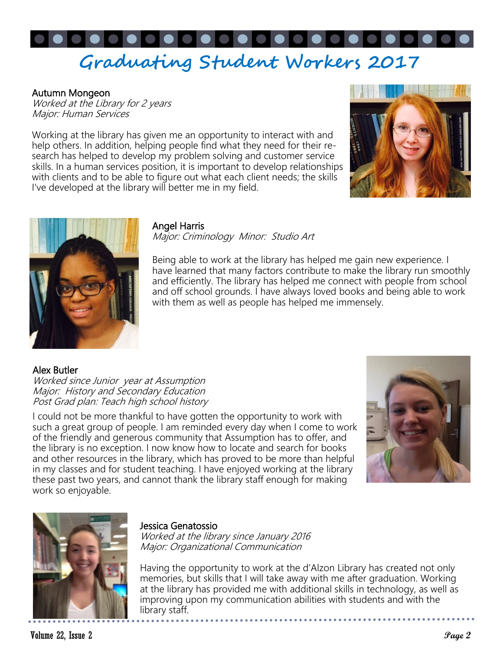# **Graduating Student Workers 2017**

#### Autumn Mongeon

Worked at the Library for 2 years Major: Human Services

Working at the library has given me an opportunity to interact with and help others. In addition, helping people find what they need for their research has helped to develop my problem solving and customer service skills. In a human services position, it is important to develop relationships with clients and to be able to figure out what each client needs; the skills I've developed at the library will better me in my field.





#### Angel Harris

Major: Criminology Minor: Studio Art

Being able to work at the library has helped me gain new experience. I have learned that many factors contribute to make the library run smoothly and efficiently. The library has helped me connect with people from school and off school grounds. I have always loved books and being able to work with them as well as people has helped me immensely.

Alex Butler

Worked since Junior year at Assumption Major: History and Secondary Education Post Grad plan: Teach high school history

I could not be more thankful to have gotten the opportunity to work with such a great group of people. I am reminded every day when I come to work of the friendly and generous community that Assumption has to offer, and the library is no exception. I now know how to locate and search for books and other resources in the library, which has proved to be more than helpful in my classes and for student teaching. I have enjoyed working at the library these past two years, and cannot thank the library staff enough for making work so enjoyable.





#### Jessica Genatossio

Worked at the library since January 2016 Major: Organizational Communication

Having the opportunity to work at the d'Alzon Library has created not only memories, but skills that I will take away with me after graduation. Working at the library has provided me with additional skills in technology, as well as improving upon my communication abilities with students and with the library staff.

Volume 22, Issue 2 **Page 2**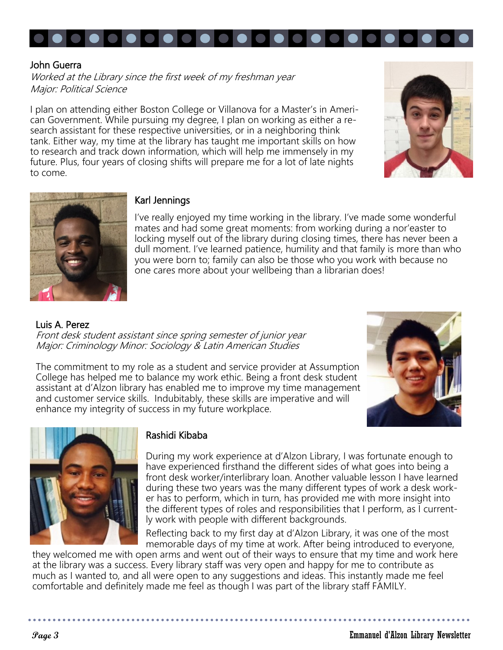

#### John Guerra

Worked at the Library since the first week of my freshman year Major: Political Science

I plan on attending either Boston College or Villanova for a Master's in American Government. While pursuing my degree, I plan on working as either a research assistant for these respective universities, or in a neighboring think tank. Either way, my time at the library has taught me important skills on how to research and track down information, which will help me immensely in my future. Plus, four years of closing shifts will prepare me for a lot of late nights to come.





#### Karl Jennings

I've really enjoyed my time working in the library. I've made some wonderful mates and had some great moments: from working during a nor'easter to locking myself out of the library during closing times, there has never been a dull moment. I've learned patience, humility and that family is more than who you were born to; family can also be those who you work with because no one cares more about your wellbeing than a librarian does!

Luis A. Perez Front desk student assistant since spring semester of junior year Major: Criminology Minor: Sociology & Latin American Studies

The commitment to my role as a student and service provider at Assumption College has helped me to balance my work ethic. Being a front desk student assistant at d'Alzon library has enabled me to improve my time management and customer service skills. Indubitably, these skills are imperative and will enhance my integrity of success in my future workplace.





#### Rashidi Kibaba

During my work experience at d'Alzon Library, I was fortunate enough to have experienced firsthand the different sides of what goes into being a front desk worker/interlibrary loan. Another valuable lesson I have learned during these two years was the many different types of work a desk worker has to perform, which in turn, has provided me with more insight into the different types of roles and responsibilities that I perform, as I currently work with people with different backgrounds.

Reflecting back to my first day at d'Alzon Library, it was one of the most memorable days of my time at work. After being introduced to everyone,

they welcomed me with open arms and went out of their ways to ensure that my time and work here at the library was a success. Every library staff was very open and happy for me to contribute as much as I wanted to, and all were open to any suggestions and ideas. This instantly made me feel comfortable and definitely made me feel as though I was part of the library staff FAMILY.